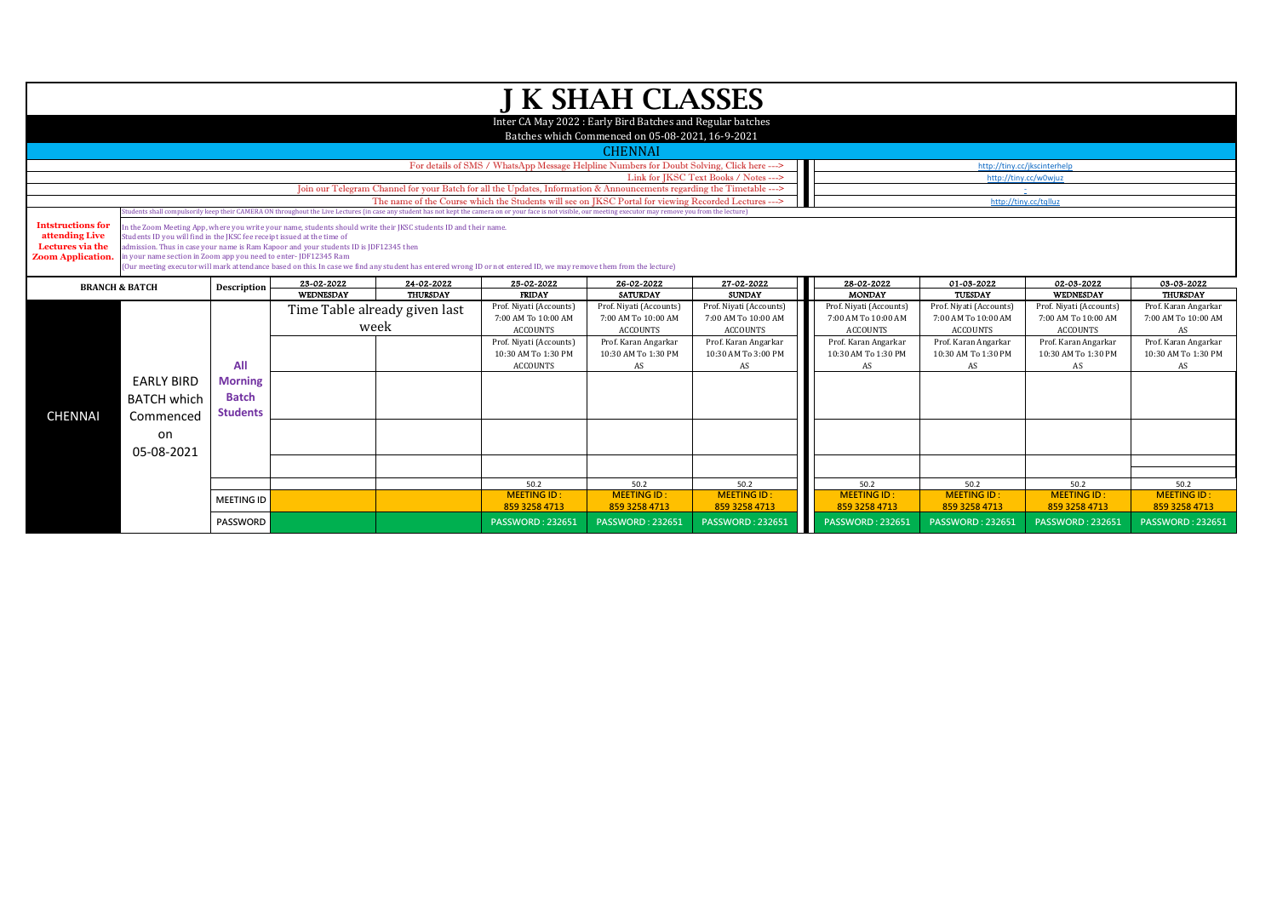|                          |                                                                                                                                                                                          |                                                                                                                                                                                                                                                                                                                                      |                                                                                       |                               |                                                                                                                                                                    | J K SHAH CLASSES                                           |                           |                           |                           |                              |                           |  |  |
|--------------------------|------------------------------------------------------------------------------------------------------------------------------------------------------------------------------------------|--------------------------------------------------------------------------------------------------------------------------------------------------------------------------------------------------------------------------------------------------------------------------------------------------------------------------------------|---------------------------------------------------------------------------------------|-------------------------------|--------------------------------------------------------------------------------------------------------------------------------------------------------------------|------------------------------------------------------------|---------------------------|---------------------------|---------------------------|------------------------------|---------------------------|--|--|
|                          |                                                                                                                                                                                          |                                                                                                                                                                                                                                                                                                                                      |                                                                                       |                               |                                                                                                                                                                    |                                                            |                           |                           |                           |                              |                           |  |  |
|                          |                                                                                                                                                                                          |                                                                                                                                                                                                                                                                                                                                      |                                                                                       |                               |                                                                                                                                                                    | Inter CA May 2022 : Early Bird Batches and Regular batches |                           |                           |                           |                              |                           |  |  |
|                          |                                                                                                                                                                                          |                                                                                                                                                                                                                                                                                                                                      |                                                                                       |                               |                                                                                                                                                                    | Batches which Commenced on 05-08-2021, 16-9-2021           |                           |                           |                           |                              |                           |  |  |
|                          |                                                                                                                                                                                          |                                                                                                                                                                                                                                                                                                                                      |                                                                                       |                               |                                                                                                                                                                    | <b>CHENNAI</b>                                             |                           |                           |                           |                              |                           |  |  |
|                          |                                                                                                                                                                                          |                                                                                                                                                                                                                                                                                                                                      |                                                                                       |                               | For details of SMS / WhatsApp Message Helpline Numbers for Doubt Solving, Click here --->                                                                          |                                                            |                           |                           |                           | http://tiny.cc/jkscinterhelp |                           |  |  |
|                          | Link for JKSC Text Books / Notes ---><br>http://tiny.cc/w0wjuz<br>Join our Telegram Channel for your Batch for all the Updates, Information & Announcements regarding the Timetable ---> |                                                                                                                                                                                                                                                                                                                                      |                                                                                       |                               |                                                                                                                                                                    |                                                            |                           |                           |                           |                              |                           |  |  |
|                          |                                                                                                                                                                                          |                                                                                                                                                                                                                                                                                                                                      |                                                                                       |                               | The name of the Course which the Students will see on JKSC Portal for viewing Recorded Lectures --->                                                               |                                                            |                           |                           |                           | http://tiny.cc/tqlluz        |                           |  |  |
|                          |                                                                                                                                                                                          |                                                                                                                                                                                                                                                                                                                                      |                                                                                       |                               |                                                                                                                                                                    |                                                            |                           |                           |                           |                              |                           |  |  |
| <b>Intstructions for</b> |                                                                                                                                                                                          | itudents shall compulsorily keep their CAMERA ON throughout the Live Lectures (in case any student has not kept the camera on or your face is not visible, our meeting executor may remove you from the lecture)<br>In the Zoom Meeting App, where you write your name, students should write their JKSC students ID and their name. |                                                                                       |                               |                                                                                                                                                                    |                                                            |                           |                           |                           |                              |                           |  |  |
| attending Live           | Students ID you will find in the JKSC fee receipt issued at the time of                                                                                                                  |                                                                                                                                                                                                                                                                                                                                      |                                                                                       |                               |                                                                                                                                                                    |                                                            |                           |                           |                           |                              |                           |  |  |
| Lectures via the         | in your name section in Zoom app you need to enter-JDF12345 Ram                                                                                                                          |                                                                                                                                                                                                                                                                                                                                      | admission. Thus in case your name is Ram Kapoor and your students ID is JDF12345 then |                               |                                                                                                                                                                    |                                                            |                           |                           |                           |                              |                           |  |  |
| <b>Zoom Application.</b> |                                                                                                                                                                                          |                                                                                                                                                                                                                                                                                                                                      |                                                                                       |                               | (Our meeting executor will mark attendance based on this. In case we find any student has entered wrong ID or not entered ID, we may remove them from the lecture) |                                                            |                           |                           |                           |                              |                           |  |  |
|                          |                                                                                                                                                                                          |                                                                                                                                                                                                                                                                                                                                      | 23-02-2022                                                                            | 24-02-2022                    | 25-02-2022                                                                                                                                                         | 26-02-2022                                                 | 27-02-2022                | 28-02-2022                | 01-03-2022                | 02-03-2022                   | 03-03-2022                |  |  |
|                          | <b>BRANCH &amp; BATCH</b>                                                                                                                                                                | Description                                                                                                                                                                                                                                                                                                                          | WEDNESDAY                                                                             | <b>THURSDAY</b>               | <b>FRIDAY</b>                                                                                                                                                      | <b>SATURDAY</b>                                            | <b>SUNDAY</b>             | <b>MONDAY</b>             | TUESDAY                   | WEDNESDAY                    | <b>THURSDAY</b>           |  |  |
|                          |                                                                                                                                                                                          |                                                                                                                                                                                                                                                                                                                                      |                                                                                       | Time Table already given last | Prof. Niyati (Accounts)                                                                                                                                            | Prof. Niyati (Accounts)                                    | Prof. Niyati (Accounts)   | Prof. Niyati (Accounts)   | Prof. Niyati (Accounts)   | Prof. Niyati (Accounts)      | Prof. Karan Angarkar      |  |  |
|                          |                                                                                                                                                                                          |                                                                                                                                                                                                                                                                                                                                      |                                                                                       |                               | 7:00 AM To 10:00 AM                                                                                                                                                | 7:00 AM To 10:00 AM                                        | 7:00 AM To 10:00 AM       | 7:00 AM To 10:00 AM       | 7:00 AM To 10:00 AM       | 7:00 AM To 10:00 AM          | 7:00 AM To 10:00 AM       |  |  |
|                          |                                                                                                                                                                                          |                                                                                                                                                                                                                                                                                                                                      |                                                                                       | week                          | <b>ACCOUNTS</b>                                                                                                                                                    | <b>ACCOUNTS</b>                                            | <b>ACCOUNTS</b>           | <b>ACCOUNTS</b>           | <b>ACCOUNTS</b>           | <b>ACCOUNTS</b>              | AS                        |  |  |
|                          |                                                                                                                                                                                          |                                                                                                                                                                                                                                                                                                                                      |                                                                                       |                               | Prof. Niyati (Accounts)                                                                                                                                            | Prof. Karan Angarkar                                       | Prof. Karan Angarkar      | Prof. Karan Angarkar      | Prof. Karan Angarkar      | Prof. Karan Angarkar         | Prof. Karan Angarkar      |  |  |
|                          |                                                                                                                                                                                          | All                                                                                                                                                                                                                                                                                                                                  |                                                                                       |                               | 10:30 AM To 1:30 PM<br><b>ACCOUNTS</b>                                                                                                                             | 10:30 AM To 1:30 PM<br>AS                                  | 10:30 AM To 3:00 PM<br>AS | 10:30 AM To 1:30 PM<br>AS | 10:30 AM To 1:30 PM<br>AS | 10:30 AM To 1:30 PM<br>AS    | 10:30 AM To 1:30 PM<br>AS |  |  |
|                          |                                                                                                                                                                                          |                                                                                                                                                                                                                                                                                                                                      |                                                                                       |                               |                                                                                                                                                                    |                                                            |                           |                           |                           |                              |                           |  |  |
|                          | <b>EARLY BIRD</b>                                                                                                                                                                        | <b>Morning</b>                                                                                                                                                                                                                                                                                                                       |                                                                                       |                               |                                                                                                                                                                    |                                                            |                           |                           |                           |                              |                           |  |  |
|                          | <b>BATCH which</b>                                                                                                                                                                       | <b>Batch</b>                                                                                                                                                                                                                                                                                                                         |                                                                                       |                               |                                                                                                                                                                    |                                                            |                           |                           |                           |                              |                           |  |  |
| <b>CHENNAI</b>           | Commenced                                                                                                                                                                                | <b>Students</b>                                                                                                                                                                                                                                                                                                                      |                                                                                       |                               |                                                                                                                                                                    |                                                            |                           |                           |                           |                              |                           |  |  |
|                          |                                                                                                                                                                                          |                                                                                                                                                                                                                                                                                                                                      |                                                                                       |                               |                                                                                                                                                                    |                                                            |                           |                           |                           |                              |                           |  |  |
|                          | on                                                                                                                                                                                       |                                                                                                                                                                                                                                                                                                                                      |                                                                                       |                               |                                                                                                                                                                    |                                                            |                           |                           |                           |                              |                           |  |  |
|                          | 05-08-2021                                                                                                                                                                               |                                                                                                                                                                                                                                                                                                                                      |                                                                                       |                               |                                                                                                                                                                    |                                                            |                           |                           |                           |                              |                           |  |  |
|                          |                                                                                                                                                                                          |                                                                                                                                                                                                                                                                                                                                      |                                                                                       |                               |                                                                                                                                                                    |                                                            |                           |                           |                           |                              |                           |  |  |
|                          |                                                                                                                                                                                          |                                                                                                                                                                                                                                                                                                                                      |                                                                                       |                               | 50.2                                                                                                                                                               | 50.2                                                       | 50.2                      | 50.2                      | 50.2                      | 50.2                         | 50.2                      |  |  |
|                          |                                                                                                                                                                                          | <b>MEETING ID</b>                                                                                                                                                                                                                                                                                                                    |                                                                                       |                               | <b>MEETING ID:</b>                                                                                                                                                 | <b>MEETING ID:</b>                                         | <b>MEETING ID:</b>        | <b>MEETING ID:</b>        | <b>MEETING ID:</b>        | <b>MEETING ID:</b>           | <b>MEETING ID</b>         |  |  |
|                          |                                                                                                                                                                                          |                                                                                                                                                                                                                                                                                                                                      |                                                                                       |                               | 859 3258 4713                                                                                                                                                      | 859 3258 4713                                              | 859 3258 4713             | 859 3258 4713             | 859 3258 4713             | 859 3258 4713                | 859 3258 4713             |  |  |
|                          |                                                                                                                                                                                          | <b>PASSWORD</b>                                                                                                                                                                                                                                                                                                                      |                                                                                       |                               | <b>PASSWORD: 232651</b>                                                                                                                                            | <b>PASSWORD: 232651</b>                                    | <b>PASSWORD: 232651</b>   | <b>PASSWORD: 232651</b>   | <b>PASSWORD: 232651</b>   | <b>PASSWORD: 232651</b>      | <b>PASSWORD: 232651</b>   |  |  |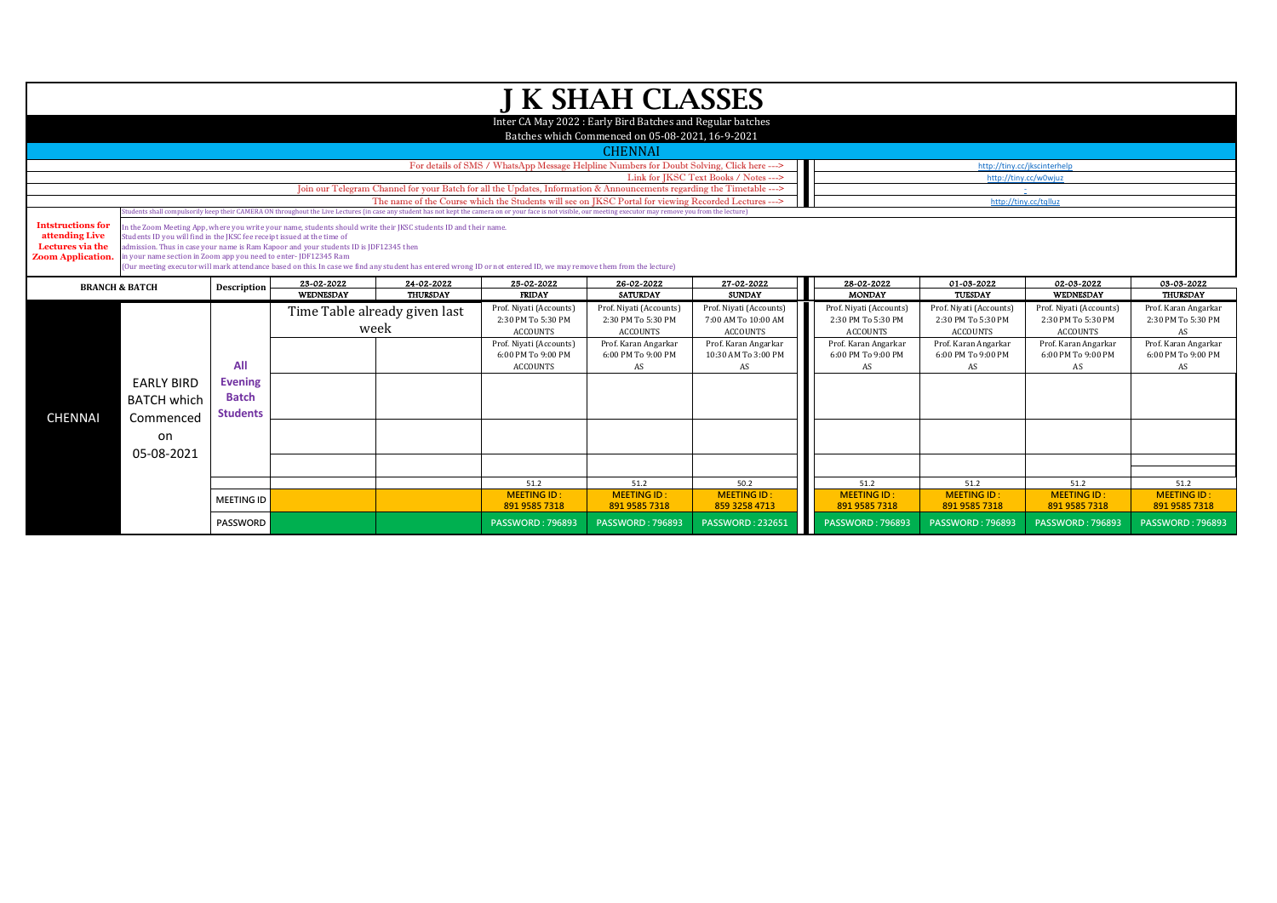|                           |                                                                                                                        |                    |                                                                                                                  |                               |                                                                                                                                                                                                                                                                                                                          | <b>J K SHAH CLASSES</b>                                    |                                         |                                         |                                         |                                         |                            |
|---------------------------|------------------------------------------------------------------------------------------------------------------------|--------------------|------------------------------------------------------------------------------------------------------------------|-------------------------------|--------------------------------------------------------------------------------------------------------------------------------------------------------------------------------------------------------------------------------------------------------------------------------------------------------------------------|------------------------------------------------------------|-----------------------------------------|-----------------------------------------|-----------------------------------------|-----------------------------------------|----------------------------|
|                           |                                                                                                                        |                    |                                                                                                                  |                               |                                                                                                                                                                                                                                                                                                                          | Inter CA May 2022 : Early Bird Batches and Regular batches |                                         |                                         |                                         |                                         |                            |
|                           |                                                                                                                        |                    |                                                                                                                  |                               |                                                                                                                                                                                                                                                                                                                          | Batches which Commenced on 05-08-2021, 16-9-2021           |                                         |                                         |                                         |                                         |                            |
|                           |                                                                                                                        |                    |                                                                                                                  |                               |                                                                                                                                                                                                                                                                                                                          | <b>CHENNAI</b>                                             |                                         |                                         |                                         |                                         |                            |
|                           |                                                                                                                        |                    |                                                                                                                  |                               | For details of SMS / WhatsApp Message Helpline Numbers for Doubt Solving, Click here --->                                                                                                                                                                                                                                |                                                            |                                         |                                         | http://tiny.cc/jkscinterhelp            |                                         |                            |
|                           | Link for JKSC Text Books / Notes ---><br>http://tiny.cc/w0wjuz                                                         |                    |                                                                                                                  |                               |                                                                                                                                                                                                                                                                                                                          |                                                            |                                         |                                         |                                         |                                         |                            |
|                           | Join our Telegram Channel for your Batch for all the Updates, Information & Announcements regarding the Timetable ---> |                    |                                                                                                                  |                               |                                                                                                                                                                                                                                                                                                                          |                                                            |                                         |                                         |                                         |                                         |                            |
|                           |                                                                                                                        |                    |                                                                                                                  |                               | The name of the Course which the Students will see on JKSC Portal for viewing Recorded Lectures ---><br>(tudents shall compulsorily keep their CAMERA ON throughout the Live Lectures (in case any student has not kept the camera on or your face is not visible, our meeting executor may remove you from the lecture) |                                                            |                                         |                                         | http://tiny.cc/tqlluz                   |                                         |                            |
| <b>Intstructions for</b>  |                                                                                                                        |                    | In the Zoom Meeting App, where you write your name, students should write their JKSC students ID and their name. |                               |                                                                                                                                                                                                                                                                                                                          |                                                            |                                         |                                         |                                         |                                         |                            |
| attending Live            | Students ID you will find in the JKSC fee receipt issued at the time of                                                |                    |                                                                                                                  |                               |                                                                                                                                                                                                                                                                                                                          |                                                            |                                         |                                         |                                         |                                         |                            |
| Lectures via the          |                                                                                                                        |                    | admission. Thus in case your name is Ram Kapoor and your students ID is JDF12345 then                            |                               |                                                                                                                                                                                                                                                                                                                          |                                                            |                                         |                                         |                                         |                                         |                            |
| <b>Zoom Application.</b>  | in your name section in Zoom app you need to enter-JDF12345 Ram                                                        |                    |                                                                                                                  |                               | (Our meeting executor will mark attendance based on this. In case we find any student has entered wrong ID or not entered ID, we may remove them from the lecture)                                                                                                                                                       |                                                            |                                         |                                         |                                         |                                         |                            |
|                           |                                                                                                                        |                    | 23-02-2022                                                                                                       | 24-02-2022                    | 25-02-2022                                                                                                                                                                                                                                                                                                               | 26-02-2022                                                 | 27-02-2022                              | 28-02-2022                              | 01-03-2022                              | 02-03-2022                              | 03-03-2022                 |
| <b>BRANCH &amp; BATCH</b> |                                                                                                                        | <b>Description</b> | WEDNESDAY                                                                                                        | <b>THURSDAY</b>               | <b>FRIDAY</b>                                                                                                                                                                                                                                                                                                            | <b>SATURDAY</b>                                            | <b>SUNDAY</b>                           | <b>MONDAY</b>                           | TUESDAY                                 | WEDNESDAY                               | <b>THURSDAY</b>            |
|                           |                                                                                                                        |                    |                                                                                                                  | Time Table already given last | Prof. Niyati (Accounts)                                                                                                                                                                                                                                                                                                  | Prof. Niyati (Accounts)                                    | Prof. Niyati (Accounts)                 | Prof. Niyati (Accounts)                 | Prof. Niyati (Accounts)                 | Prof. Niyati (Accounts)                 | Prof. Karan Angarkar       |
|                           |                                                                                                                        |                    |                                                                                                                  | week                          |                                                                                                                                                                                                                                                                                                                          | 2:30 PM To 5:30 PM                                         | 7:00 AM To 10:00 AM                     | 2:30 PM To 5:30 PM                      | 2:30 PM To 5:30 PM                      | 2:30 PM To 5:30 PM                      | 2:30 PM To 5:30 PM         |
|                           |                                                                                                                        |                    |                                                                                                                  |                               | <b>ACCOUNTS</b><br>Prof. Niyati (Accounts)                                                                                                                                                                                                                                                                               | <b>ACCOUNTS</b><br>Prof. Karan Angarkar                    | <b>ACCOUNTS</b><br>Prof. Karan Angarkar | <b>ACCOUNTS</b><br>Prof. Karan Angarkar | <b>ACCOUNTS</b><br>Prof. Karan Angarkar | <b>ACCOUNTS</b><br>Prof. Karan Angarkar | AS<br>Prof. Karan Angarkar |
|                           |                                                                                                                        |                    |                                                                                                                  |                               | 6:00 PM To 9:00 PM                                                                                                                                                                                                                                                                                                       | 6:00 PM To 9:00 PM                                         | 10:30 AM To 3:00 PM                     | 6:00 PM To 9:00 PM                      | 6:00 PM To 9:00 PM                      | 6:00 PM To 9:00 PM                      | 6:00 PM To 9:00 PM         |
|                           |                                                                                                                        | All                |                                                                                                                  |                               | <b>ACCOUNTS</b>                                                                                                                                                                                                                                                                                                          | AS                                                         | AS                                      | AS                                      | AS                                      | AS                                      | AS                         |
|                           | <b>EARLY BIRD</b>                                                                                                      | <b>Evening</b>     |                                                                                                                  |                               |                                                                                                                                                                                                                                                                                                                          |                                                            |                                         |                                         |                                         |                                         |                            |
|                           | <b>BATCH which</b>                                                                                                     | <b>Batch</b>       |                                                                                                                  |                               |                                                                                                                                                                                                                                                                                                                          |                                                            |                                         |                                         |                                         |                                         |                            |
|                           |                                                                                                                        | <b>Students</b>    |                                                                                                                  |                               |                                                                                                                                                                                                                                                                                                                          |                                                            |                                         |                                         |                                         |                                         |                            |
| <b>CHENNAI</b>            | Commenced                                                                                                              |                    |                                                                                                                  |                               |                                                                                                                                                                                                                                                                                                                          |                                                            |                                         |                                         |                                         |                                         |                            |
|                           | on                                                                                                                     |                    |                                                                                                                  |                               |                                                                                                                                                                                                                                                                                                                          |                                                            |                                         |                                         |                                         |                                         |                            |
|                           | 05-08-2021                                                                                                             |                    |                                                                                                                  |                               |                                                                                                                                                                                                                                                                                                                          |                                                            |                                         |                                         |                                         |                                         |                            |
|                           |                                                                                                                        |                    |                                                                                                                  |                               |                                                                                                                                                                                                                                                                                                                          |                                                            |                                         |                                         |                                         |                                         |                            |
|                           |                                                                                                                        |                    |                                                                                                                  |                               | 51.2                                                                                                                                                                                                                                                                                                                     | 51.2                                                       | 50.2                                    | 51.2                                    | 51.2                                    | 51.2                                    | 51.2                       |
|                           |                                                                                                                        | <b>MEETING ID</b>  |                                                                                                                  |                               | <b>MEETING ID:</b>                                                                                                                                                                                                                                                                                                       | <b>MEETING ID:</b>                                         | <b>MEETING ID:</b>                      | <b>MEETING ID:</b>                      | <b>MEETING ID:</b>                      | <b>MEETING ID:</b>                      | <b>MEETING ID</b>          |
|                           |                                                                                                                        |                    |                                                                                                                  |                               | 891 9585 7318                                                                                                                                                                                                                                                                                                            | 891 9585 7318                                              | 859 3258 4713                           | 891 9585 7318                           | 891 9585 7318                           | 891 9585 7318                           | 891 9585 7318              |
|                           |                                                                                                                        | <b>PASSWORD</b>    |                                                                                                                  |                               | <b>PASSWORD: 796893</b>                                                                                                                                                                                                                                                                                                  | <b>PASSWORD: 796893</b>                                    | <b>PASSWORD: 232651</b>                 | <b>PASSWORD: 796893</b>                 | <b>PASSWORD: 796893</b>                 | <b>PASSWORD: 796893</b>                 | <b>PASSWORD: 796893</b>    |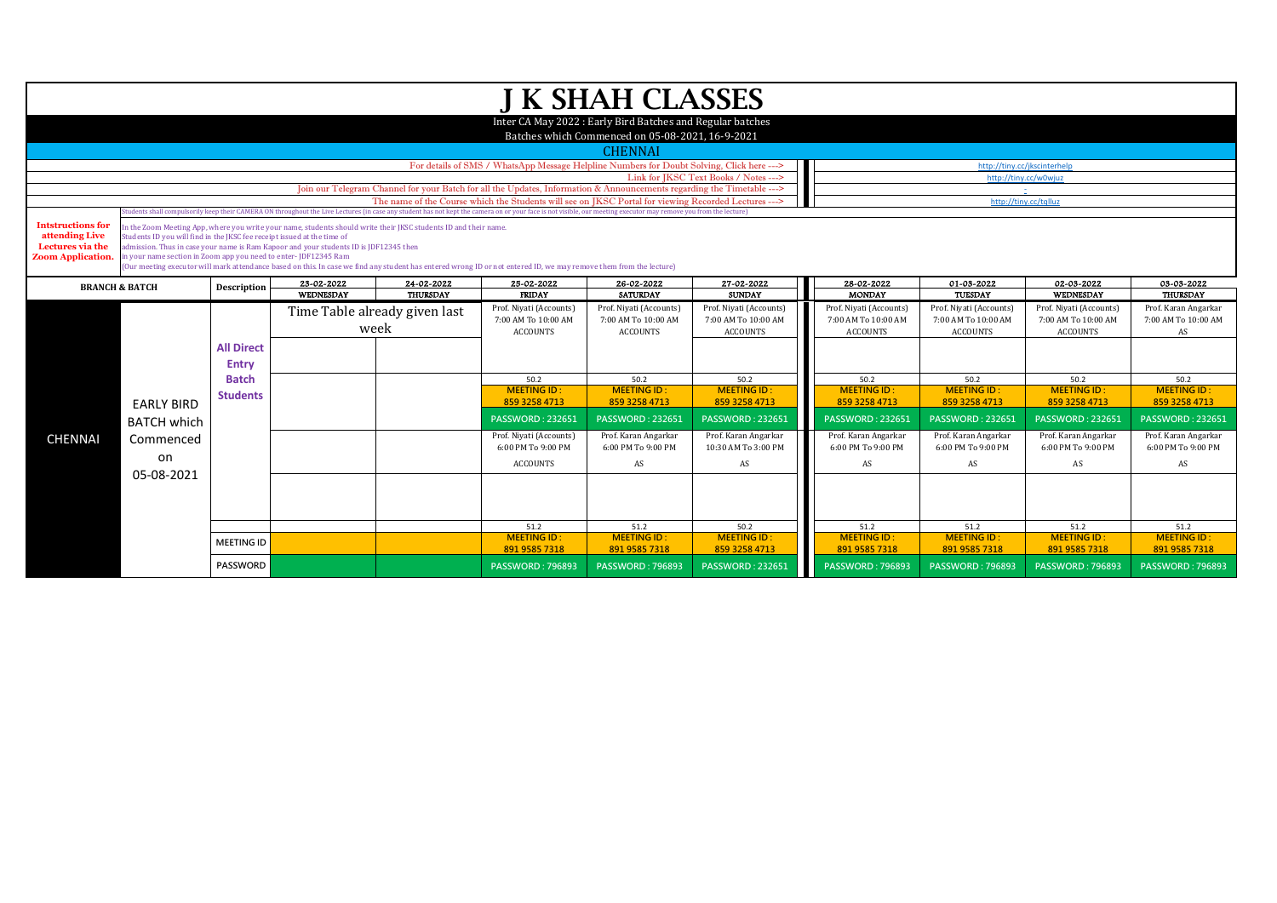|                                                                                                                                                          |                                                                                                                                            |                                                                                                                                                                                                                |                                                                                                                                                                                                          |                                       |                                                                                                                                                                    | J K SHAH CLASSES                                                                                               |                                                                   |                                                                   |                                                                   |                                                                   |                                                   |  |  |
|----------------------------------------------------------------------------------------------------------------------------------------------------------|--------------------------------------------------------------------------------------------------------------------------------------------|----------------------------------------------------------------------------------------------------------------------------------------------------------------------------------------------------------------|----------------------------------------------------------------------------------------------------------------------------------------------------------------------------------------------------------|---------------------------------------|--------------------------------------------------------------------------------------------------------------------------------------------------------------------|----------------------------------------------------------------------------------------------------------------|-------------------------------------------------------------------|-------------------------------------------------------------------|-------------------------------------------------------------------|-------------------------------------------------------------------|---------------------------------------------------|--|--|
|                                                                                                                                                          |                                                                                                                                            |                                                                                                                                                                                                                |                                                                                                                                                                                                          |                                       |                                                                                                                                                                    | Inter CA May 2022 : Early Bird Batches and Regular batches<br>Batches which Commenced on 05-08-2021, 16-9-2021 |                                                                   |                                                                   |                                                                   |                                                                   |                                                   |  |  |
|                                                                                                                                                          |                                                                                                                                            |                                                                                                                                                                                                                |                                                                                                                                                                                                          |                                       |                                                                                                                                                                    | <b>CHENNAI</b>                                                                                                 |                                                                   |                                                                   |                                                                   |                                                                   |                                                   |  |  |
|                                                                                                                                                          |                                                                                                                                            |                                                                                                                                                                                                                |                                                                                                                                                                                                          |                                       | For details of SMS / WhatsApp Message Helpline Numbers for Doubt Solving, Click here --->                                                                          |                                                                                                                |                                                                   |                                                                   | http://tiny.cc/jkscinterhelp                                      |                                                                   |                                                   |  |  |
|                                                                                                                                                          |                                                                                                                                            |                                                                                                                                                                                                                |                                                                                                                                                                                                          |                                       |                                                                                                                                                                    |                                                                                                                | Link for IKSC Text Books / Notes --->                             |                                                                   | http://tinv.cc/w0wiuz                                             |                                                                   |                                                   |  |  |
|                                                                                                                                                          |                                                                                                                                            |                                                                                                                                                                                                                |                                                                                                                                                                                                          |                                       | Join our Telegram Channel for your Batch for all the Updates, Information & Announcements regarding the Timetable --->                                             |                                                                                                                |                                                                   |                                                                   |                                                                   |                                                                   |                                                   |  |  |
|                                                                                                                                                          |                                                                                                                                            |                                                                                                                                                                                                                |                                                                                                                                                                                                          |                                       | The name of the Course which the Students will see on IKSC Portal for viewing Recorded Lectures --->                                                               |                                                                                                                |                                                                   |                                                                   | http://tiny.cc/tqlluz                                             |                                                                   |                                                   |  |  |
|                                                                                                                                                          |                                                                                                                                            | udents shall compulsorily keep their CAMERA ON throughout the Live Lectures (in case any student has not kept the camera on or your face is not visible, our meeting executor may remove you from the lecture) |                                                                                                                                                                                                          |                                       |                                                                                                                                                                    |                                                                                                                |                                                                   |                                                                   |                                                                   |                                                                   |                                                   |  |  |
| <b>Intstructions for</b><br>attending Live<br>Lectures via the<br><b>Zoom Application.</b>                                                               | Students ID you will find in the JKSC fee receipt issued at the time of<br>in your name section in Zoom app you need to enter-JDF12345 Ram |                                                                                                                                                                                                                | In the Zoom Meeting App, where you write your name, students should write their JKSC students ID and their name.<br>dmission. Thus in case your name is Ram Kapoor and your students ID is JDF12345 then |                                       | (Our meeting executor will mark attendance based on this. In case we find any student has entered wrong ID or not entered ID, we may remove them from the lecture) |                                                                                                                |                                                                   |                                                                   |                                                                   |                                                                   |                                                   |  |  |
| 28-02-2022<br>01-03-2022<br>02-03-2022<br>23-02-2022<br>24-02-2022<br>25-02-2022<br>26-02-2022<br>27-02-2022<br>Description<br><b>BRANCH &amp; BATCH</b> |                                                                                                                                            |                                                                                                                                                                                                                |                                                                                                                                                                                                          |                                       |                                                                                                                                                                    | 03-03-2022                                                                                                     |                                                                   |                                                                   |                                                                   |                                                                   |                                                   |  |  |
|                                                                                                                                                          |                                                                                                                                            |                                                                                                                                                                                                                | <b>WEDNESDAY</b>                                                                                                                                                                                         | <b>THURSDAY</b>                       | <b>FRIDAY</b>                                                                                                                                                      | <b>SATURDAY</b>                                                                                                | <b>SUNDAY</b>                                                     | <b>MONDAY</b>                                                     | TUESDAY                                                           | WEDNESDAY                                                         | <b>THURSDAY</b>                                   |  |  |
|                                                                                                                                                          |                                                                                                                                            |                                                                                                                                                                                                                |                                                                                                                                                                                                          | Time Table already given last<br>week | Prof. Niyati (Accounts)<br>7:00 AM To 10:00 AM<br><b>ACCOUNTS</b>                                                                                                  | Prof. Niyati (Accounts)<br>7:00 AM To 10:00 AM<br><b>ACCOUNTS</b>                                              | Prof. Niyati (Accounts)<br>7:00 AM To 10:00 AM<br><b>ACCOUNTS</b> | Prof. Niyati (Accounts)<br>7:00 AM To 10:00 AM<br><b>ACCOUNTS</b> | Prof. Niyati (Accounts)<br>7:00 AM To 10:00 AM<br><b>ACCOUNTS</b> | Prof. Niyati (Accounts)<br>7:00 AM To 10:00 AM<br><b>ACCOUNTS</b> | Prof. Karan Angarkar<br>7:00 AM To 10:00 AM<br>AS |  |  |
|                                                                                                                                                          |                                                                                                                                            | <b>All Direct</b><br><b>Entry</b>                                                                                                                                                                              |                                                                                                                                                                                                          |                                       |                                                                                                                                                                    |                                                                                                                |                                                                   |                                                                   |                                                                   |                                                                   |                                                   |  |  |
|                                                                                                                                                          |                                                                                                                                            | <b>Batch</b>                                                                                                                                                                                                   |                                                                                                                                                                                                          |                                       | 50.2                                                                                                                                                               | 50.2                                                                                                           | 50.2                                                              | 50.2                                                              | 50.2                                                              | 50.2                                                              | 50.2                                              |  |  |
|                                                                                                                                                          | <b>EARLY BIRD</b>                                                                                                                          | <b>Students</b>                                                                                                                                                                                                |                                                                                                                                                                                                          |                                       | <b>MEETING ID:</b><br>859 3258 4713                                                                                                                                | <b>MEETING ID:</b><br>859 3258 4713                                                                            | <b>MEETING ID:</b><br>859 3258 4713                               | <b>MEETING ID:</b><br>859 3258 4713                               | <b>MEETING ID:</b><br>859 3258 4713                               | <b>MEETING ID:</b><br>859 3258 4713                               | <b>MEETING ID:</b><br>859 3258 4713               |  |  |
|                                                                                                                                                          | <b>BATCH which</b>                                                                                                                         |                                                                                                                                                                                                                |                                                                                                                                                                                                          |                                       | <b>PASSWORD: 232651</b>                                                                                                                                            | <b>PASSWORD: 232651</b>                                                                                        | <b>PASSWORD: 232651</b>                                           | <b>PASSWORD: 232651</b>                                           | <b>PASSWORD: 232651</b>                                           | <b>PASSWORD: 232651</b>                                           | <b>PASSWORD: 232651</b>                           |  |  |
| <b>CHENNAI</b>                                                                                                                                           | Commenced                                                                                                                                  |                                                                                                                                                                                                                |                                                                                                                                                                                                          |                                       | Prof. Niyati (Accounts)<br>6:00 PM To 9:00 PM                                                                                                                      | Prof. Karan Angarkar<br>6:00 PM To 9:00 PM                                                                     | Prof. Karan Angarkar<br>10:30 AM To 3:00 PM                       | Prof. Karan Angarkar<br>6:00 PM To 9:00 PM                        | Prof. Karan Angarkar<br>6:00 PM To 9:00 PM                        | Prof. Karan Angarkar<br>6:00 PM To 9:00 PM                        | Prof. Karan Angarkar<br>6:00 PM To 9:00 PM        |  |  |
|                                                                                                                                                          | on<br>05-08-2021                                                                                                                           |                                                                                                                                                                                                                |                                                                                                                                                                                                          |                                       | <b>ACCOUNTS</b>                                                                                                                                                    | AS                                                                                                             | AS                                                                | AS                                                                | AS                                                                | AS                                                                | AS                                                |  |  |
|                                                                                                                                                          |                                                                                                                                            |                                                                                                                                                                                                                |                                                                                                                                                                                                          |                                       |                                                                                                                                                                    |                                                                                                                |                                                                   |                                                                   |                                                                   |                                                                   |                                                   |  |  |
|                                                                                                                                                          |                                                                                                                                            |                                                                                                                                                                                                                |                                                                                                                                                                                                          |                                       | 51.2                                                                                                                                                               | 51.2                                                                                                           | 50.2                                                              | 51.2                                                              | 51.2                                                              | 51.2                                                              | 51.2                                              |  |  |
|                                                                                                                                                          |                                                                                                                                            | <b>MEETING ID</b>                                                                                                                                                                                              |                                                                                                                                                                                                          |                                       | <b>MEETING ID:</b><br>891 9585 7318                                                                                                                                | <b>MEETING ID:</b><br>891 9585 7318                                                                            | <b>MEETING ID:</b><br>859 3258 4713                               | <b>MEETING ID:</b><br>891 9585 7318                               | <b>MEETING ID:</b><br>891 9585 7318                               | <b>MEETING ID:</b><br>891 9585 7318                               | <b>MEETING ID:</b><br>891 9585 7318               |  |  |
|                                                                                                                                                          |                                                                                                                                            | <b>PASSWORD</b>                                                                                                                                                                                                |                                                                                                                                                                                                          |                                       | <b>PASSWORD: 796893</b>                                                                                                                                            | <b>PASSWORD: 796893</b>                                                                                        | <b>PASSWORD: 232651</b>                                           | <b>PASSWORD: 796893</b>                                           | <b>PASSWORD: 796893</b>                                           | <b>PASSWORD: 796893</b>                                           | <b>PASSWORD: 796893</b>                           |  |  |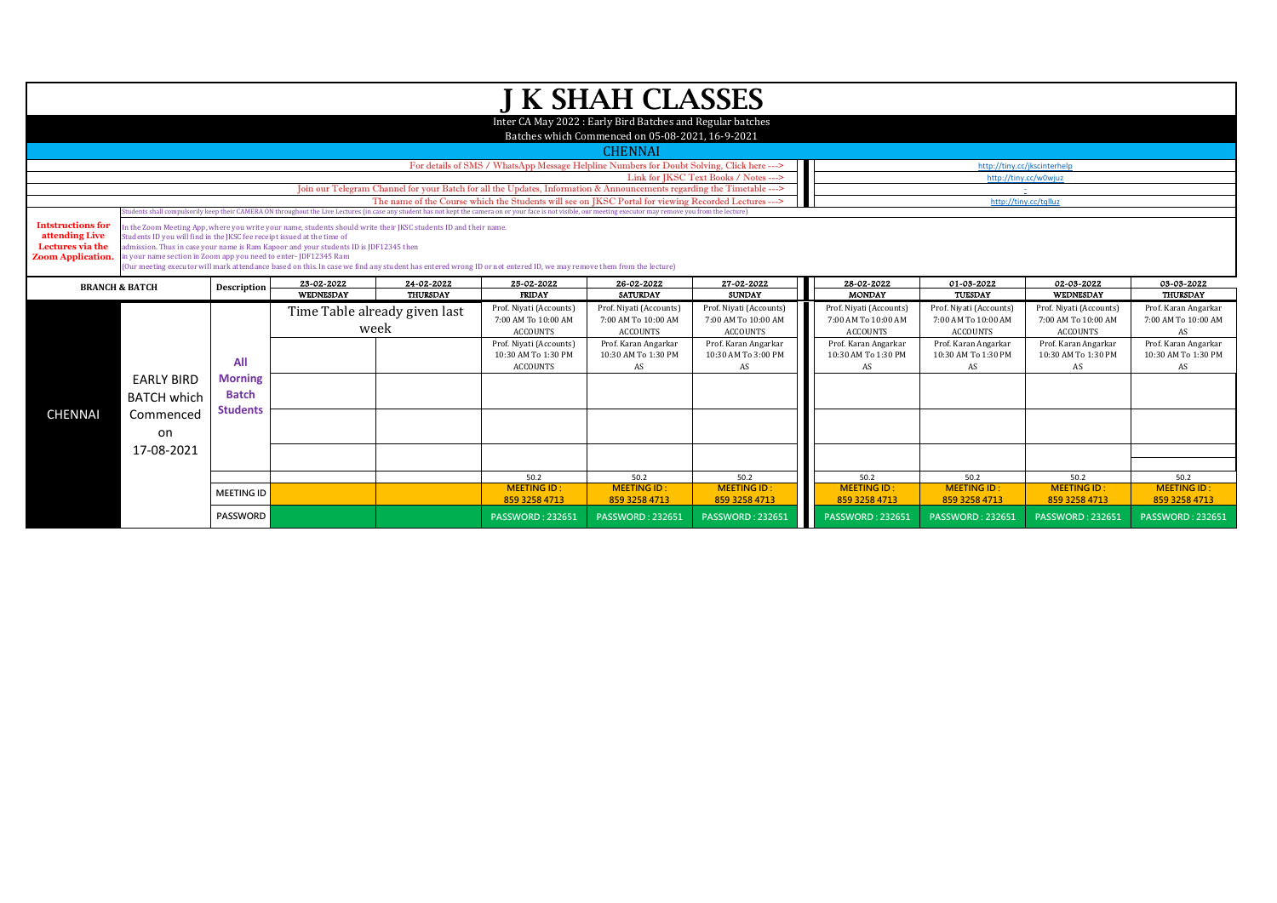|                                              |                                                                                                                           |                   |                                                                                                                  |                               |                                                                                                                                                                                                                  | J K SHAH CLASSES                                                                                               |                         |                         |                         |                         |                         |
|----------------------------------------------|---------------------------------------------------------------------------------------------------------------------------|-------------------|------------------------------------------------------------------------------------------------------------------|-------------------------------|------------------------------------------------------------------------------------------------------------------------------------------------------------------------------------------------------------------|----------------------------------------------------------------------------------------------------------------|-------------------------|-------------------------|-------------------------|-------------------------|-------------------------|
|                                              |                                                                                                                           |                   |                                                                                                                  |                               |                                                                                                                                                                                                                  |                                                                                                                |                         |                         |                         |                         |                         |
|                                              |                                                                                                                           |                   |                                                                                                                  |                               |                                                                                                                                                                                                                  | Inter CA May 2022 : Early Bird Batches and Regular batches<br>Batches which Commenced on 05-08-2021, 16-9-2021 |                         |                         |                         |                         |                         |
|                                              |                                                                                                                           |                   |                                                                                                                  |                               |                                                                                                                                                                                                                  | <b>CHENNAI</b>                                                                                                 |                         |                         |                         |                         |                         |
|                                              | For details of SMS / WhatsApp Message Helpline Numbers for Doubt Solving, Click here ---><br>http://tiny.cc/jkscinterhelp |                   |                                                                                                                  |                               |                                                                                                                                                                                                                  |                                                                                                                |                         |                         |                         |                         |                         |
|                                              | Link for JKSC Text Books / Notes ---><br>http://tiny.cc/w0wjuz                                                            |                   |                                                                                                                  |                               |                                                                                                                                                                                                                  |                                                                                                                |                         |                         |                         |                         |                         |
|                                              | Join our Telegram Channel for your Batch for all the Updates, Information & Announcements regarding the Timetable --->    |                   |                                                                                                                  |                               |                                                                                                                                                                                                                  |                                                                                                                |                         |                         |                         |                         |                         |
|                                              |                                                                                                                           |                   |                                                                                                                  |                               | The name of the Course which the Students will see on IKSC Portal for viewing Recorded Lectures --->                                                                                                             |                                                                                                                |                         |                         | http://tiny.cc/tqlluz   |                         |                         |
|                                              |                                                                                                                           |                   |                                                                                                                  |                               | Students shall compulsorily keep their CAMERA ON throughout the Live Lectures (in case any student has not kept the camera on or your face is not visible, our meeting executor may remove you from the lecture) |                                                                                                                |                         |                         |                         |                         |                         |
| <b>Intstructions for</b>                     |                                                                                                                           |                   | In the Zoom Meeting App, where you write your name, students should write their JKSC students ID and their name. |                               |                                                                                                                                                                                                                  |                                                                                                                |                         |                         |                         |                         |                         |
| attending Live                               | Students ID you will find in the JKSC fee receipt issued at the time of                                                   |                   |                                                                                                                  |                               |                                                                                                                                                                                                                  |                                                                                                                |                         |                         |                         |                         |                         |
| Lectures via the<br><b>Zoom Application.</b> | in your name section in Zoom app you need to enter-JDF12345 Ram                                                           |                   | admission. Thus in case your name is Ram Kapoor and your students ID is JDF12345 then                            |                               |                                                                                                                                                                                                                  |                                                                                                                |                         |                         |                         |                         |                         |
|                                              |                                                                                                                           |                   |                                                                                                                  |                               | (Our meeting executor will mark attendance based on this. In case we find any student has entered wrong ID or not entered ID, we may remove them from the lecture)                                               |                                                                                                                |                         |                         |                         |                         |                         |
|                                              |                                                                                                                           |                   | 23-02-2022                                                                                                       | 24-02-2022                    | 25-02-2022                                                                                                                                                                                                       | 26-02-2022                                                                                                     | 27-02-2022              | 28-02-2022              | 01-03-2022              | 02-03-2022              | 03-03-2022              |
| <b>BRANCH &amp; BATCH</b>                    |                                                                                                                           | Description       | WEDNESDAY                                                                                                        | <b>THURSDAY</b>               | <b>FRIDAY</b>                                                                                                                                                                                                    | <b>SATURDAY</b>                                                                                                | <b>SUNDAY</b>           | <b>MONDAY</b>           | TUESDAY                 | WEDNESDAY               | <b>THURSDAY</b>         |
|                                              |                                                                                                                           |                   |                                                                                                                  | Time Table already given last | Prof. Niyati (Accounts)                                                                                                                                                                                          | Prof. Niyati (Accounts)                                                                                        | Prof. Niyati (Accounts) | Prof. Niyati (Accounts) | Prof. Niyati (Accounts) | Prof. Niyati (Accounts) | Prof. Karan Angarkar    |
|                                              |                                                                                                                           |                   |                                                                                                                  |                               | 7:00 AM To 10:00 AM                                                                                                                                                                                              | 7:00 AM To 10:00 AM                                                                                            | 7:00 AM To 10:00 AM     | 7:00 AM To 10:00 AM     | 7:00 AM To 10:00 AM     | 7:00 AM To 10:00 AM     | 7:00 AM To 10:00 AM     |
|                                              |                                                                                                                           |                   |                                                                                                                  | week                          | <b>ACCOUNTS</b>                                                                                                                                                                                                  | <b>ACCOUNTS</b>                                                                                                | <b>ACCOUNTS</b>         | <b>ACCOUNTS</b>         | <b>ACCOUNTS</b>         | <b>ACCOUNTS</b>         | AS                      |
|                                              |                                                                                                                           |                   |                                                                                                                  |                               | Prof. Niyati (Accounts)                                                                                                                                                                                          | Prof. Karan Angarkar                                                                                           | Prof. Karan Angarkar    | Prof. Karan Angarkar    | Prof. Karan Angarkar    | Prof. Karan Angarkar    | Prof. Karan Angarkar    |
|                                              |                                                                                                                           | All               |                                                                                                                  |                               | 10:30 AM To 1:30 PM                                                                                                                                                                                              | 10:30 AM To 1:30 PM                                                                                            | 10:30 AM To 3:00 PM     | 10:30 AM To 1:30 PM     | 10:30 AM To 1:30 PM     | 10:30 AM To 1:30 PM     | 10:30 AM To 1:30 PM     |
|                                              |                                                                                                                           |                   |                                                                                                                  |                               | <b>ACCOUNTS</b>                                                                                                                                                                                                  | AS                                                                                                             | AS                      | AS                      | AS                      | AS                      | AS                      |
|                                              | <b>EARLY BIRD</b>                                                                                                         | <b>Morning</b>    |                                                                                                                  |                               |                                                                                                                                                                                                                  |                                                                                                                |                         |                         |                         |                         |                         |
|                                              | <b>BATCH which</b>                                                                                                        | <b>Batch</b>      |                                                                                                                  |                               |                                                                                                                                                                                                                  |                                                                                                                |                         |                         |                         |                         |                         |
|                                              |                                                                                                                           | <b>Students</b>   |                                                                                                                  |                               |                                                                                                                                                                                                                  |                                                                                                                |                         |                         |                         |                         |                         |
| <b>CHENNAI</b>                               | Commenced                                                                                                                 |                   |                                                                                                                  |                               |                                                                                                                                                                                                                  |                                                                                                                |                         |                         |                         |                         |                         |
|                                              | on                                                                                                                        |                   |                                                                                                                  |                               |                                                                                                                                                                                                                  |                                                                                                                |                         |                         |                         |                         |                         |
|                                              | 17-08-2021                                                                                                                |                   |                                                                                                                  |                               |                                                                                                                                                                                                                  |                                                                                                                |                         |                         |                         |                         |                         |
|                                              |                                                                                                                           |                   |                                                                                                                  |                               |                                                                                                                                                                                                                  |                                                                                                                |                         |                         |                         |                         |                         |
|                                              |                                                                                                                           |                   |                                                                                                                  |                               | 50.2                                                                                                                                                                                                             | 50.2                                                                                                           | 50.2                    | 50.2                    | 50.2                    | 50.2                    | 50.2                    |
|                                              |                                                                                                                           |                   |                                                                                                                  |                               | <b>MEETING ID:</b>                                                                                                                                                                                               | <b>MEETING ID:</b>                                                                                             | <b>MEETING ID:</b>      | <b>MEETING ID:</b>      | <b>MEETING ID:</b>      | <b>MEETING ID:</b>      | <b>MEETING ID:</b>      |
|                                              |                                                                                                                           | <b>MEETING ID</b> |                                                                                                                  |                               | 859 3258 4713                                                                                                                                                                                                    | 859 3258 4713                                                                                                  | 859 3258 4713           | 859 3258 4713           | 859 3258 4713           | 859 3258 4713           | 859 3258 4713           |
|                                              |                                                                                                                           | <b>PASSWORD</b>   |                                                                                                                  |                               | <b>PASSWORD: 232651</b>                                                                                                                                                                                          | <b>PASSWORD: 232651</b>                                                                                        | <b>PASSWORD: 232651</b> | <b>PASSWORD: 232651</b> | <b>PASSWORD: 232651</b> | <b>PASSWORD: 232651</b> | <b>PASSWORD: 232651</b> |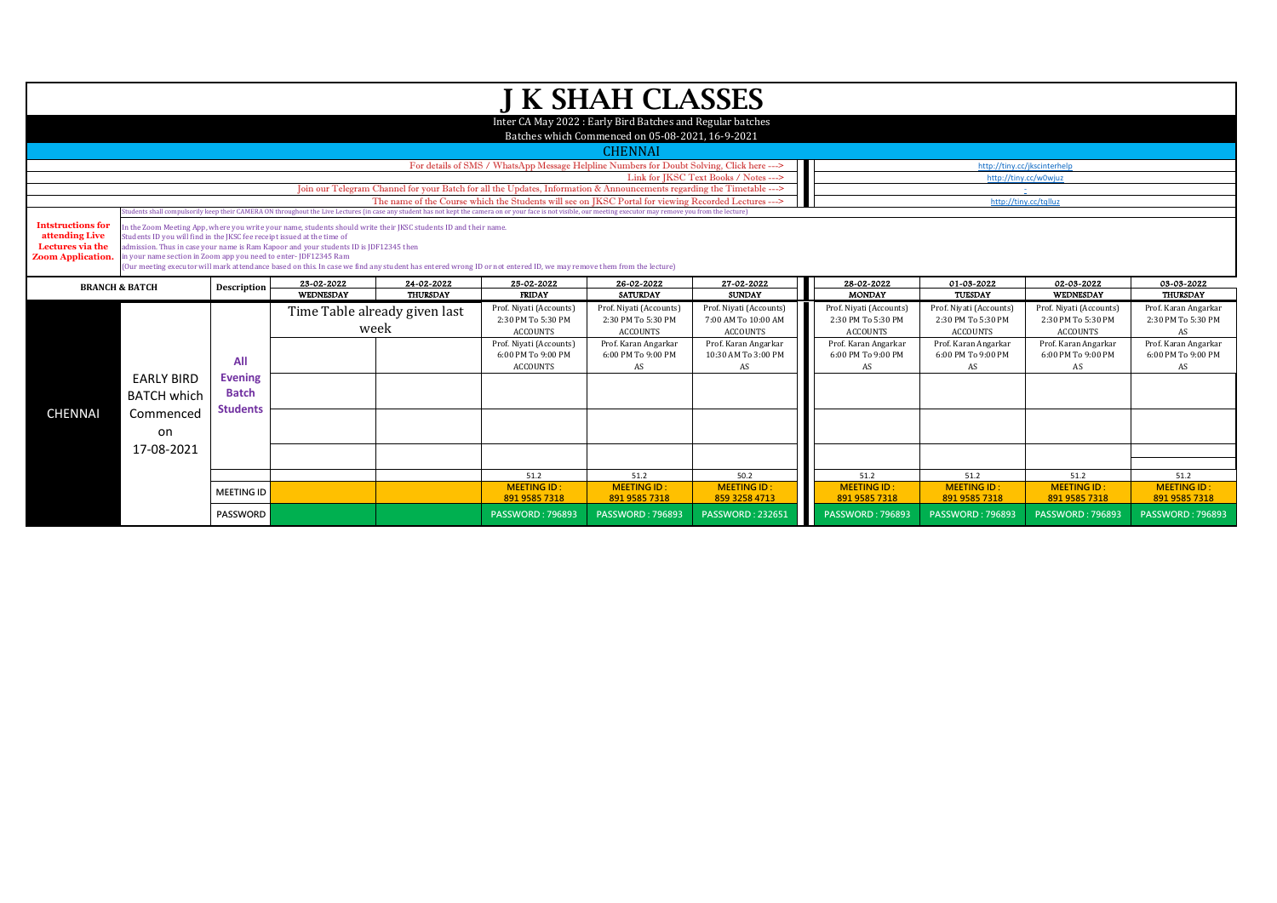|                                                                                            |                                                                                                                                                                               |                                                   |                                                                                                                                                                                                           |                                       |                                                                                                                                                                                                                                                                                                                          | J K SHAH CLASSES                                                                                               |                                                                   |                                                                  |                                                                  |                                                                  |                                                  |
|--------------------------------------------------------------------------------------------|-------------------------------------------------------------------------------------------------------------------------------------------------------------------------------|---------------------------------------------------|-----------------------------------------------------------------------------------------------------------------------------------------------------------------------------------------------------------|---------------------------------------|--------------------------------------------------------------------------------------------------------------------------------------------------------------------------------------------------------------------------------------------------------------------------------------------------------------------------|----------------------------------------------------------------------------------------------------------------|-------------------------------------------------------------------|------------------------------------------------------------------|------------------------------------------------------------------|------------------------------------------------------------------|--------------------------------------------------|
|                                                                                            |                                                                                                                                                                               |                                                   |                                                                                                                                                                                                           |                                       |                                                                                                                                                                                                                                                                                                                          | Inter CA May 2022 : Early Bird Batches and Regular batches<br>Batches which Commenced on 05-08-2021, 16-9-2021 |                                                                   |                                                                  |                                                                  |                                                                  |                                                  |
|                                                                                            |                                                                                                                                                                               |                                                   |                                                                                                                                                                                                           |                                       |                                                                                                                                                                                                                                                                                                                          | <b>CHENNAI</b>                                                                                                 |                                                                   |                                                                  |                                                                  |                                                                  |                                                  |
|                                                                                            |                                                                                                                                                                               |                                                   |                                                                                                                                                                                                           |                                       | For details of SMS / WhatsApp Message Helpline Numbers for Doubt Solving, Click here --->                                                                                                                                                                                                                                |                                                                                                                |                                                                   |                                                                  |                                                                  | http://tiny.cc/jkscinterhelp                                     |                                                  |
|                                                                                            |                                                                                                                                                                               |                                                   |                                                                                                                                                                                                           |                                       |                                                                                                                                                                                                                                                                                                                          |                                                                                                                | Link for IKSC Text Books / Notes --->                             |                                                                  |                                                                  | http://tinv.cc/w0wiuz                                            |                                                  |
|                                                                                            |                                                                                                                                                                               |                                                   |                                                                                                                                                                                                           |                                       | Join our Telegram Channel for your Batch for all the Updates, Information & Announcements regarding the Timetable --->                                                                                                                                                                                                   |                                                                                                                |                                                                   |                                                                  |                                                                  |                                                                  |                                                  |
|                                                                                            |                                                                                                                                                                               |                                                   |                                                                                                                                                                                                           |                                       | The name of the Course which the Students will see on IKSC Portal for viewing Recorded Lectures ---><br>Students shall compulsorily keep their CAMERA ON throughout the Live Lectures (in case any student has not kept the camera on or your face is not visible, our meeting executor may remove you from the lecture) |                                                                                                                |                                                                   |                                                                  | http://tiny.cc/tqlluz                                            |                                                                  |                                                  |
| <b>Intstructions for</b><br>attending Live<br>Lectures via the<br><b>Zoom Application.</b> | Students ID you will find in the JKSC fee receipt issued at the time of<br>in your name section in Zoom app you need to enter-JDF12345 Ram                                    |                                                   | In the Zoom Meeting App, where you write your name, students should write their JKSC students ID and their name.<br>admission. Thus in case your name is Ram Kapoor and your students ID is [DF12345 then |                                       | (Our meeting executor will mark attendance based on this. In case we find any student has entered wrong ID or not entered ID, we may remove them from the lecture)                                                                                                                                                       |                                                                                                                |                                                                   |                                                                  |                                                                  |                                                                  |                                                  |
|                                                                                            | 23-02-2022<br>24-02-2022<br>25-02-2022<br>26-02-2022<br>27-02-2022<br>28-02-2022<br>01-03-2022<br>02-03-2022<br>03-03-2022<br><b>BRANCH &amp; BATCH</b><br><b>Description</b> |                                                   |                                                                                                                                                                                                           |                                       |                                                                                                                                                                                                                                                                                                                          |                                                                                                                |                                                                   |                                                                  |                                                                  |                                                                  |                                                  |
|                                                                                            |                                                                                                                                                                               |                                                   | WEDNESDAY                                                                                                                                                                                                 | <b>THURSDAY</b>                       | <b>FRIDAY</b>                                                                                                                                                                                                                                                                                                            | <b>SATURDAY</b>                                                                                                | <b>SUNDAY</b>                                                     | <b>MONDAY</b>                                                    | TUESDAY                                                          | WEDNESDAY                                                        | <b>THURSDAY</b>                                  |
|                                                                                            |                                                                                                                                                                               |                                                   |                                                                                                                                                                                                           | Time Table already given last<br>week | Prof. Niyati (Accounts)<br>2:30 PM To 5:30 PM<br><b>ACCOUNTS</b>                                                                                                                                                                                                                                                         | Prof. Niyati (Accounts)<br>2:30 PM To 5:30 PM<br>ACCOUNTS                                                      | Prof. Niyati (Accounts)<br>7:00 AM To 10:00 AM<br><b>ACCOUNTS</b> | Prof. Niyati (Accounts)<br>2:30 PM To 5:30 PM<br><b>ACCOUNTS</b> | Prof. Niyati (Accounts)<br>2:30 PM To 5:30 PM<br><b>ACCOUNTS</b> | Prof. Niyati (Accounts)<br>2:30 PM To 5:30 PM<br><b>ACCOUNTS</b> | Prof. Karan Angarkar<br>2:30 PM To 5:30 PM<br>AS |
|                                                                                            |                                                                                                                                                                               | All                                               |                                                                                                                                                                                                           |                                       | Prof. Niyati (Accounts)<br>6:00 PM To 9:00 PM<br><b>ACCOUNTS</b>                                                                                                                                                                                                                                                         | Prof. Karan Angarkar<br>6:00 PM To 9:00 PM<br>AS                                                               | Prof. Karan Angarkar<br>10:30 AM To 3:00 PM<br>AS                 | Prof. Karan Angarkar<br>6:00 PM To 9:00 PM<br>AS                 | Prof. Karan Angarkar<br>6:00 PM To 9:00 PM<br>AS                 | Prof. Karan Angarkar<br>6:00 PM To 9:00 PM<br>AS                 | Prof. Karan Angarkar<br>6:00 PM To 9:00 PM<br>AS |
|                                                                                            | <b>EARLY BIRD</b><br><b>BATCH which</b>                                                                                                                                       | <b>Evening</b><br><b>Batch</b><br><b>Students</b> |                                                                                                                                                                                                           |                                       |                                                                                                                                                                                                                                                                                                                          |                                                                                                                |                                                                   |                                                                  |                                                                  |                                                                  |                                                  |
| <b>CHENNAI</b>                                                                             | Commenced<br>on                                                                                                                                                               |                                                   |                                                                                                                                                                                                           |                                       |                                                                                                                                                                                                                                                                                                                          |                                                                                                                |                                                                   |                                                                  |                                                                  |                                                                  |                                                  |
|                                                                                            | 17-08-2021                                                                                                                                                                    |                                                   |                                                                                                                                                                                                           |                                       |                                                                                                                                                                                                                                                                                                                          |                                                                                                                |                                                                   |                                                                  |                                                                  |                                                                  |                                                  |
|                                                                                            |                                                                                                                                                                               |                                                   |                                                                                                                                                                                                           |                                       | 51.2                                                                                                                                                                                                                                                                                                                     | 51.2                                                                                                           | 50.2                                                              | 51.2                                                             | 51.2                                                             | 51.2                                                             | 51.2                                             |
|                                                                                            |                                                                                                                                                                               |                                                   |                                                                                                                                                                                                           |                                       | <b>MEETING ID:</b>                                                                                                                                                                                                                                                                                                       | <b>MEETING ID:</b>                                                                                             | <b>MEETING ID:</b>                                                | <b>MEETING ID:</b>                                               | <b>MEETING ID:</b>                                               | <b>MEETING ID:</b>                                               | <b>MEETING ID:</b>                               |
|                                                                                            |                                                                                                                                                                               | <b>MEETING ID</b>                                 |                                                                                                                                                                                                           |                                       | 891 9585 7318                                                                                                                                                                                                                                                                                                            | 891 9585 7318                                                                                                  | 859 3258 4713                                                     | 891 9585 7318                                                    | 891 9585 7318                                                    | 891 9585 7318                                                    | 891 9585 7318                                    |
|                                                                                            |                                                                                                                                                                               | <b>PASSWORD</b>                                   |                                                                                                                                                                                                           |                                       | <b>PASSWORD: 796893</b>                                                                                                                                                                                                                                                                                                  | <b>PASSWORD: 796893</b>                                                                                        | <b>PASSWORD: 232651</b>                                           | <b>PASSWORD: 796893</b>                                          | <b>PASSWORD: 796893</b>                                          | <b>PASSWORD: 796893</b>                                          | <b>PASSWORD: 796893</b>                          |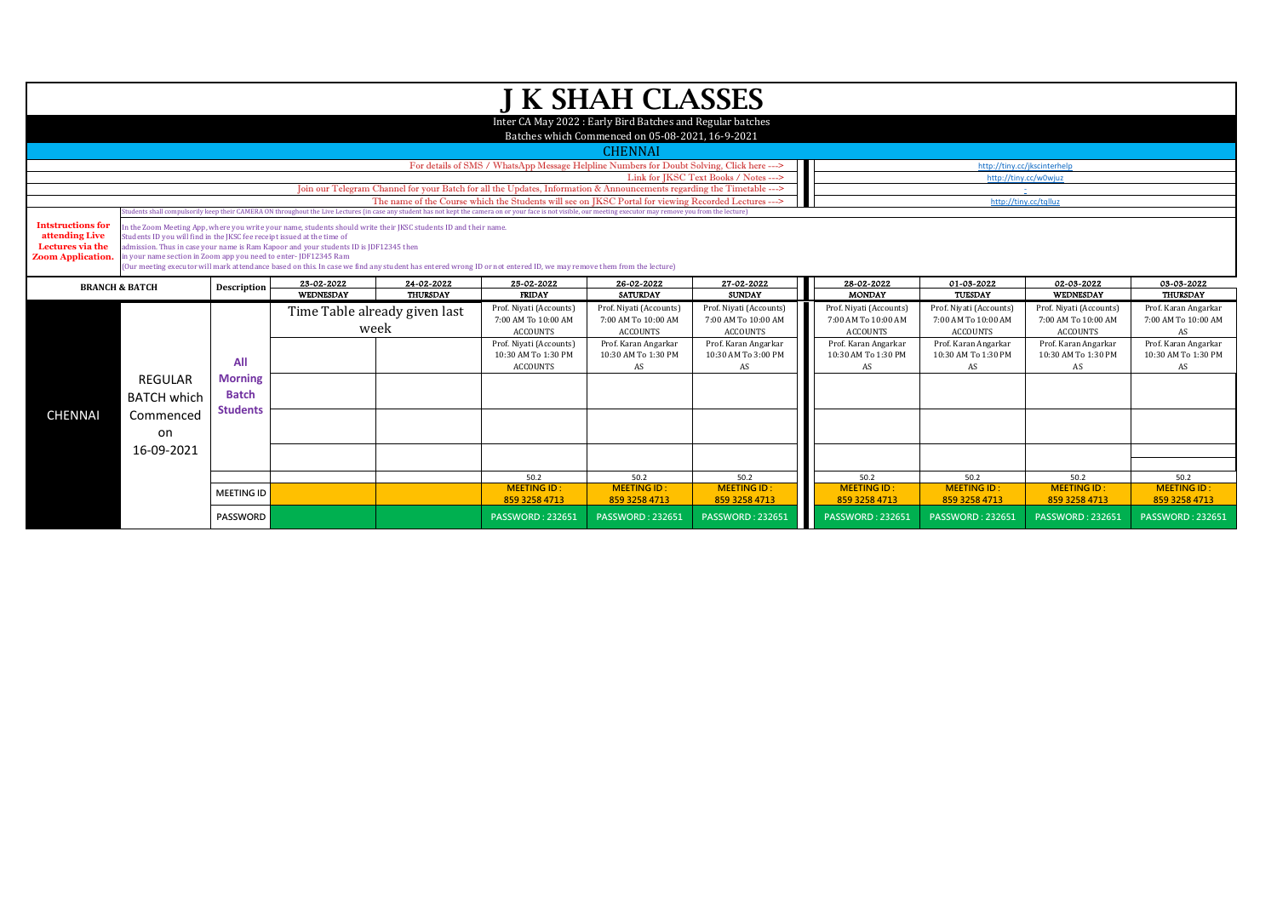|                                                                                                                                           |                                                                                                                        |                   |                                                                                                                  |                               |                                                                                                                                                                                                                  | J K SHAH CLASSES                                                                                               |                         |                         |                         |                              |                         |
|-------------------------------------------------------------------------------------------------------------------------------------------|------------------------------------------------------------------------------------------------------------------------|-------------------|------------------------------------------------------------------------------------------------------------------|-------------------------------|------------------------------------------------------------------------------------------------------------------------------------------------------------------------------------------------------------------|----------------------------------------------------------------------------------------------------------------|-------------------------|-------------------------|-------------------------|------------------------------|-------------------------|
|                                                                                                                                           |                                                                                                                        |                   |                                                                                                                  |                               |                                                                                                                                                                                                                  |                                                                                                                |                         |                         |                         |                              |                         |
|                                                                                                                                           |                                                                                                                        |                   |                                                                                                                  |                               |                                                                                                                                                                                                                  | Inter CA May 2022 : Early Bird Batches and Regular batches<br>Batches which Commenced on 05-08-2021, 16-9-2021 |                         |                         |                         |                              |                         |
|                                                                                                                                           |                                                                                                                        |                   |                                                                                                                  |                               |                                                                                                                                                                                                                  | <b>CHENNAI</b>                                                                                                 |                         |                         |                         |                              |                         |
|                                                                                                                                           |                                                                                                                        |                   |                                                                                                                  |                               | For details of SMS / WhatsApp Message Helpline Numbers for Doubt Solving, Click here --->                                                                                                                        |                                                                                                                |                         |                         |                         | http://tiny.cc/jkscinterhelp |                         |
|                                                                                                                                           | Link for JKSC Text Books / Notes ---><br>http://tiny.cc/w0wjuz                                                         |                   |                                                                                                                  |                               |                                                                                                                                                                                                                  |                                                                                                                |                         |                         |                         |                              |                         |
|                                                                                                                                           | Join our Telegram Channel for your Batch for all the Updates, Information & Announcements regarding the Timetable ---> |                   |                                                                                                                  |                               |                                                                                                                                                                                                                  |                                                                                                                |                         |                         |                         |                              |                         |
|                                                                                                                                           |                                                                                                                        |                   |                                                                                                                  |                               | The name of the Course which the Students will see on IKSC Portal for viewing Recorded Lectures --->                                                                                                             |                                                                                                                |                         |                         |                         | http://tiny.cc/tqlluz        |                         |
|                                                                                                                                           |                                                                                                                        |                   |                                                                                                                  |                               | Students shall compulsorily keep their CAMERA ON throughout the Live Lectures (in case any student has not kept the camera on or your face is not visible, our meeting executor may remove you from the lecture) |                                                                                                                |                         |                         |                         |                              |                         |
| <b>Intstructions for</b>                                                                                                                  |                                                                                                                        |                   | In the Zoom Meeting App, where you write your name, students should write their JKSC students ID and their name. |                               |                                                                                                                                                                                                                  |                                                                                                                |                         |                         |                         |                              |                         |
| attending Live<br>Lectures via the                                                                                                        | Students ID you will find in the JKSC fee receipt issued at the time of                                                |                   |                                                                                                                  |                               |                                                                                                                                                                                                                  |                                                                                                                |                         |                         |                         |                              |                         |
| <b>Zoom Application.</b>                                                                                                                  | in your name section in Zoom app you need to enter-JDF12345 Ram                                                        |                   | admission. Thus in case your name is Ram Kapoor and your students ID is [DF12345 then                            |                               |                                                                                                                                                                                                                  |                                                                                                                |                         |                         |                         |                              |                         |
|                                                                                                                                           |                                                                                                                        |                   |                                                                                                                  |                               | (Our meeting executor will mark attendance based on this. In case we find any student has entered wrong ID or not entered ID, we may remove them from the lecture)                                               |                                                                                                                |                         |                         |                         |                              |                         |
| 23-02-2022<br>24-02-2022<br>25-02-2022<br>26-02-2022<br>27-02-2022<br>28-02-2022<br>01-03-2022<br>02-03-2022<br><b>BRANCH &amp; BATCH</b> |                                                                                                                        |                   |                                                                                                                  |                               |                                                                                                                                                                                                                  |                                                                                                                |                         | 03-03-2022              |                         |                              |                         |
|                                                                                                                                           |                                                                                                                        | Description       | <b>WEDNESDAY</b>                                                                                                 | <b>THURSDAY</b>               | <b>FRIDAY</b>                                                                                                                                                                                                    | <b>SATURDAY</b>                                                                                                | <b>SUNDAY</b>           | <b>MONDAY</b>           | <b>TUESDAY</b>          | <b>WEDNESDAY</b>             | <b>THURSDAY</b>         |
|                                                                                                                                           |                                                                                                                        |                   |                                                                                                                  | Time Table already given last | Prof. Niyati (Accounts)                                                                                                                                                                                          | Prof. Niyati (Accounts)                                                                                        | Prof. Niyati (Accounts) | Prof. Niyati (Accounts) | Prof. Niyati (Accounts) | Prof. Niyati (Accounts)      | Prof. Karan Angarkar    |
|                                                                                                                                           |                                                                                                                        |                   |                                                                                                                  |                               | 7:00 AM To 10:00 AM                                                                                                                                                                                              | 7:00 AM To 10:00 AM                                                                                            | 7:00 AM To 10:00 AM     | 7:00 AM To 10:00 AM     | 7:00 AM To 10:00 AM     | 7:00 AM To 10:00 AM          | 7:00 AM To 10:00 AM     |
|                                                                                                                                           |                                                                                                                        |                   | week                                                                                                             |                               | <b>ACCOUNTS</b>                                                                                                                                                                                                  | <b>ACCOUNTS</b>                                                                                                | <b>ACCOUNTS</b>         | <b>ACCOUNTS</b>         | <b>ACCOUNTS</b>         | <b>ACCOUNTS</b>              | AS                      |
|                                                                                                                                           |                                                                                                                        |                   |                                                                                                                  |                               | Prof. Niyati (Accounts)                                                                                                                                                                                          | Prof. Karan Angarkar                                                                                           | Prof. Karan Angarkar    | Prof. Karan Angarkar    | Prof. Karan Angarkar    | Prof. Karan Angarkar         | Prof. Karan Angarkar    |
|                                                                                                                                           |                                                                                                                        | All               |                                                                                                                  |                               | 10:30 AM To 1:30 PM                                                                                                                                                                                              | 10:30 AM To 1:30 PM                                                                                            | 10:30 AM To 3:00 PM     | 10:30 AM To 1:30 PM     | 10:30 AM To 1:30 PM     | 10:30 AM To 1:30 PM          | 10:30 AM To 1:30 PM     |
|                                                                                                                                           |                                                                                                                        |                   |                                                                                                                  |                               | <b>ACCOUNTS</b>                                                                                                                                                                                                  | AS                                                                                                             | AS                      | AS                      | AS                      | AS                           | AS                      |
|                                                                                                                                           | <b>REGULAR</b>                                                                                                         | <b>Morning</b>    |                                                                                                                  |                               |                                                                                                                                                                                                                  |                                                                                                                |                         |                         |                         |                              |                         |
|                                                                                                                                           | <b>BATCH which</b>                                                                                                     | <b>Batch</b>      |                                                                                                                  |                               |                                                                                                                                                                                                                  |                                                                                                                |                         |                         |                         |                              |                         |
| <b>CHENNAI</b>                                                                                                                            | Commenced                                                                                                              | <b>Students</b>   |                                                                                                                  |                               |                                                                                                                                                                                                                  |                                                                                                                |                         |                         |                         |                              |                         |
|                                                                                                                                           |                                                                                                                        |                   |                                                                                                                  |                               |                                                                                                                                                                                                                  |                                                                                                                |                         |                         |                         |                              |                         |
|                                                                                                                                           | on                                                                                                                     |                   |                                                                                                                  |                               |                                                                                                                                                                                                                  |                                                                                                                |                         |                         |                         |                              |                         |
|                                                                                                                                           | 16-09-2021                                                                                                             |                   |                                                                                                                  |                               |                                                                                                                                                                                                                  |                                                                                                                |                         |                         |                         |                              |                         |
|                                                                                                                                           |                                                                                                                        |                   |                                                                                                                  |                               |                                                                                                                                                                                                                  |                                                                                                                |                         |                         |                         |                              |                         |
|                                                                                                                                           |                                                                                                                        |                   |                                                                                                                  |                               | 50.2                                                                                                                                                                                                             | 50.2                                                                                                           | 50.2                    | 50.2                    | 50.2                    | 50.2                         | 50.2                    |
|                                                                                                                                           |                                                                                                                        | <b>MEETING ID</b> |                                                                                                                  |                               | <b>MEETING ID:</b>                                                                                                                                                                                               | <b>MEETING ID:</b>                                                                                             | <b>MEETING ID:</b>      | <b>MEETING ID:</b>      | <b>MEETING ID:</b>      | <b>MEETING ID:</b>           | <b>MEETING ID:</b>      |
|                                                                                                                                           |                                                                                                                        |                   |                                                                                                                  |                               | 859 3258 4713                                                                                                                                                                                                    | 859 3258 4713                                                                                                  | 859 3258 4713           | 859 3258 4713           | 859 3258 4713           | 859 3258 4713                | 859 3258 4713           |
|                                                                                                                                           |                                                                                                                        | <b>PASSWORD</b>   |                                                                                                                  |                               | <b>PASSWORD: 232651</b>                                                                                                                                                                                          | <b>PASSWORD: 232651</b>                                                                                        | <b>PASSWORD: 232651</b> | <b>PASSWORD: 232651</b> | <b>PASSWORD: 232651</b> | <b>PASSWORD: 232651</b>      | <b>PASSWORD: 232651</b> |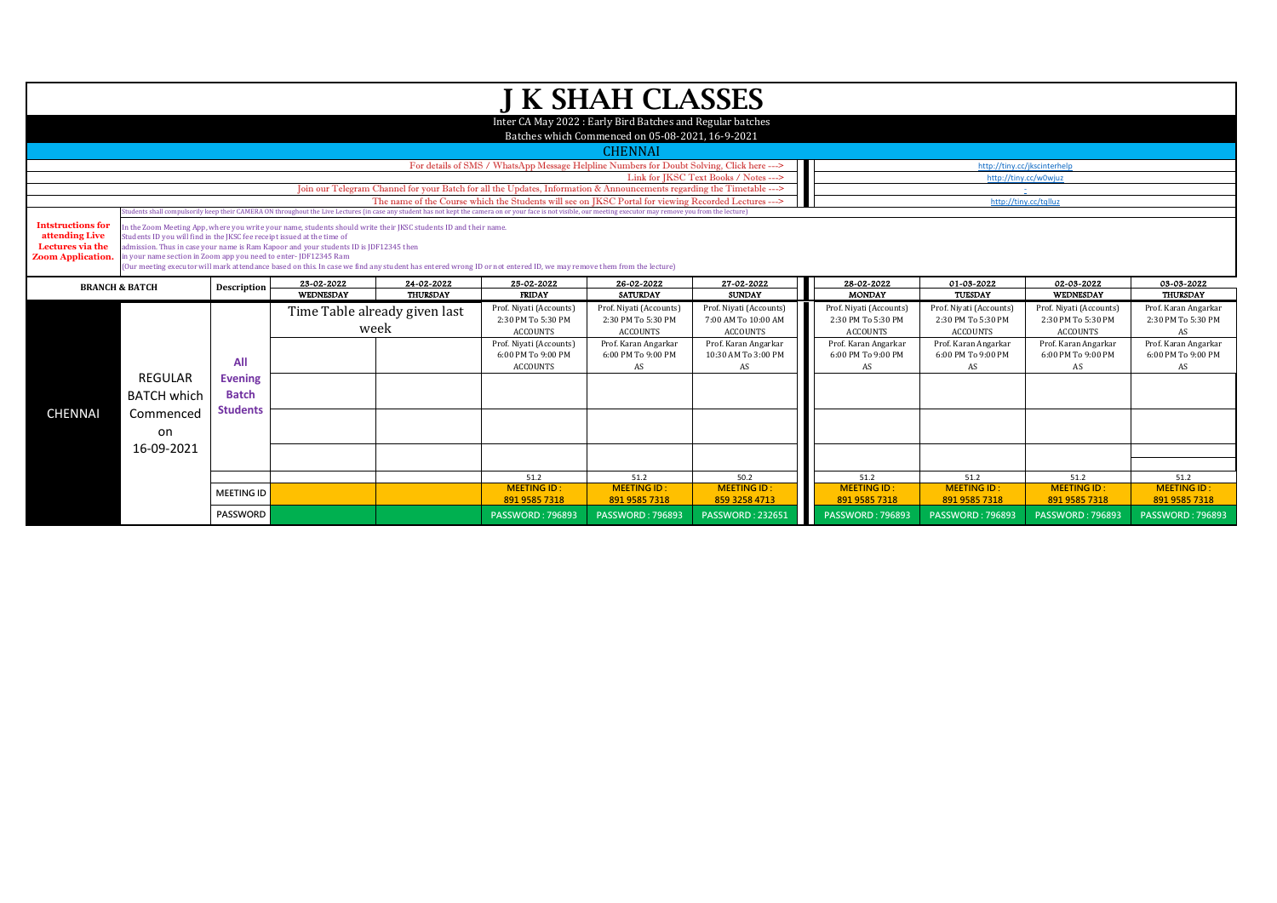|                                                                                                                                                          |                                                                                                                                            |                                |                                                                                                                                                                                                           |                               |                                                                                                                                                                                                                                | <b>J K SHAH CLASSES</b>                                                                                        |                                                                   |                                                           |                                                                  |                                                                  |                                                  |
|----------------------------------------------------------------------------------------------------------------------------------------------------------|--------------------------------------------------------------------------------------------------------------------------------------------|--------------------------------|-----------------------------------------------------------------------------------------------------------------------------------------------------------------------------------------------------------|-------------------------------|--------------------------------------------------------------------------------------------------------------------------------------------------------------------------------------------------------------------------------|----------------------------------------------------------------------------------------------------------------|-------------------------------------------------------------------|-----------------------------------------------------------|------------------------------------------------------------------|------------------------------------------------------------------|--------------------------------------------------|
|                                                                                                                                                          |                                                                                                                                            |                                |                                                                                                                                                                                                           |                               |                                                                                                                                                                                                                                | Inter CA May 2022 : Early Bird Batches and Regular batches<br>Batches which Commenced on 05-08-2021, 16-9-2021 |                                                                   |                                                           |                                                                  |                                                                  |                                                  |
|                                                                                                                                                          |                                                                                                                                            |                                |                                                                                                                                                                                                           |                               |                                                                                                                                                                                                                                | <b>CHENNAI</b>                                                                                                 |                                                                   |                                                           |                                                                  |                                                                  |                                                  |
|                                                                                                                                                          | For details of SMS / WhatsApp Message Helpline Numbers for Doubt Solving, Click here ---><br>http://tiny.cc/jkscinterhelp                  |                                |                                                                                                                                                                                                           |                               |                                                                                                                                                                                                                                |                                                                                                                |                                                                   |                                                           |                                                                  |                                                                  |                                                  |
|                                                                                                                                                          |                                                                                                                                            |                                |                                                                                                                                                                                                           |                               |                                                                                                                                                                                                                                |                                                                                                                | Link for IKSC Text Books / Notes --->                             |                                                           | http://tinv.cc/w0wiuz                                            |                                                                  |                                                  |
|                                                                                                                                                          |                                                                                                                                            |                                |                                                                                                                                                                                                           |                               | Join our Telegram Channel for your Batch for all the Updates, Information & Announcements regarding the Timetable ---><br>The name of the Course which the Students will see on IKSC Portal for viewing Recorded Lectures ---> |                                                                                                                |                                                                   |                                                           |                                                                  |                                                                  |                                                  |
|                                                                                                                                                          |                                                                                                                                            |                                |                                                                                                                                                                                                           |                               | Students shall compulsorily keep their CAMERA ON throughout the Live Lectures (in case any student has not kept the camera on or your face is not visible, our meeting executor may remove you from the lecture)               |                                                                                                                |                                                                   |                                                           | http://tiny.cc/tqlluz                                            |                                                                  |                                                  |
| <b>Intstructions for</b><br>attending Live<br>Lectures via the<br><b>Zoom Application.</b>                                                               | Students ID you will find in the JKSC fee receipt issued at the time of<br>in your name section in Zoom app you need to enter-JDF12345 Ram |                                | In the Zoom Meeting App, where you write your name, students should write their IKSC students ID and their name,<br>admission. Thus in case your name is Ram Kapoor and your students ID is JDF12345 then |                               | (Our meeting executor will mark attendance based on this. In case we find any student has entered wrong ID or not entered ID, we may remove them from the lecture)                                                             |                                                                                                                |                                                                   |                                                           |                                                                  |                                                                  |                                                  |
| 23-02-2022<br>25-02-2022<br>24-02-2022<br>26-02-2022<br>27-02-2022<br>28-02-2022<br>01-03-2022<br>02-03-2022<br><b>BRANCH &amp; BATCH</b><br>Description |                                                                                                                                            |                                |                                                                                                                                                                                                           |                               |                                                                                                                                                                                                                                |                                                                                                                |                                                                   | 03-03-2022                                                |                                                                  |                                                                  |                                                  |
|                                                                                                                                                          |                                                                                                                                            |                                | WEDNESDAY                                                                                                                                                                                                 | THURSDAY                      | <b>FRIDAY</b>                                                                                                                                                                                                                  | <b>SATURDAY</b>                                                                                                | <b>SUNDAY</b>                                                     | <b>MONDAY</b>                                             | TUESDAY                                                          | WEDNESDAY                                                        | <b>THURSDAY</b>                                  |
|                                                                                                                                                          |                                                                                                                                            |                                | week                                                                                                                                                                                                      | Time Table already given last | Prof. Niyati (Accounts)<br>2:30 PM To 5:30 PM<br><b>ACCOUNTS</b>                                                                                                                                                               | Prof. Niyati (Accounts)<br>2:30 PM To 5:30 PM<br>ACCOUNTS                                                      | Prof. Niyati (Accounts)<br>7:00 AM To 10:00 AM<br><b>ACCOUNTS</b> | Prof. Niyati (Accounts)<br>2:30 PM To 5:30 PM<br>ACCOUNTS | Prof. Niyati (Accounts)<br>2:30 PM To 5:30 PM<br><b>ACCOUNTS</b> | Prof. Niyati (Accounts)<br>2:30 PM To 5:30 PM<br><b>ACCOUNTS</b> | Prof. Karan Angarkar<br>2:30 PM To 5:30 PM<br>AS |
|                                                                                                                                                          |                                                                                                                                            | All                            |                                                                                                                                                                                                           |                               | Prof. Niyati (Accounts)<br>6:00 PM To 9:00 PM<br><b>ACCOUNTS</b>                                                                                                                                                               | Prof. Karan Angarkar<br>6:00 PM To 9:00 PM<br>AS                                                               | Prof. Karan Angarkar<br>10:30 AM To 3:00 PM<br>AS                 | Prof. Karan Angarkar<br>6:00 PM To 9:00 PM<br>AS          | Prof. Karan Angarkar<br>6:00 PM To 9:00 PM<br>AS                 | Prof. Karan Angarkar<br>6:00 PM To 9:00 PM<br>AS                 | Prof. Karan Angarkar<br>6:00 PM To 9:00 PM<br>AS |
|                                                                                                                                                          | <b>REGULAR</b><br><b>BATCH which</b>                                                                                                       | <b>Evening</b><br><b>Batch</b> |                                                                                                                                                                                                           |                               |                                                                                                                                                                                                                                |                                                                                                                |                                                                   |                                                           |                                                                  |                                                                  |                                                  |
| <b>CHENNAI</b>                                                                                                                                           | Commenced<br>on                                                                                                                            | <b>Students</b>                |                                                                                                                                                                                                           |                               |                                                                                                                                                                                                                                |                                                                                                                |                                                                   |                                                           |                                                                  |                                                                  |                                                  |
|                                                                                                                                                          | 16-09-2021                                                                                                                                 |                                |                                                                                                                                                                                                           |                               |                                                                                                                                                                                                                                |                                                                                                                |                                                                   |                                                           |                                                                  |                                                                  |                                                  |
|                                                                                                                                                          |                                                                                                                                            |                                |                                                                                                                                                                                                           |                               |                                                                                                                                                                                                                                |                                                                                                                |                                                                   |                                                           |                                                                  |                                                                  |                                                  |
|                                                                                                                                                          |                                                                                                                                            |                                |                                                                                                                                                                                                           |                               | 51.2                                                                                                                                                                                                                           | 51.2                                                                                                           | 50.2<br><b>MEETING ID:</b>                                        | 51.2<br><b>MEETING ID:</b>                                | 51.2<br><b>MEETING ID:</b>                                       | 51.2<br><b>MEETING ID:</b>                                       | 51.2<br><b>MEETING ID</b>                        |
|                                                                                                                                                          |                                                                                                                                            |                                |                                                                                                                                                                                                           |                               |                                                                                                                                                                                                                                |                                                                                                                |                                                                   |                                                           |                                                                  |                                                                  |                                                  |
|                                                                                                                                                          |                                                                                                                                            | <b>MEETING ID</b>              |                                                                                                                                                                                                           |                               | <b>MEETING ID:</b><br>891 9585 7318                                                                                                                                                                                            | <b>MEETING ID:</b><br>891 9585 7318                                                                            | 859 3258 4713                                                     | 891 9585 7318                                             | 891 9585 7318                                                    | 891 9585 7318                                                    | 891 9585 7318                                    |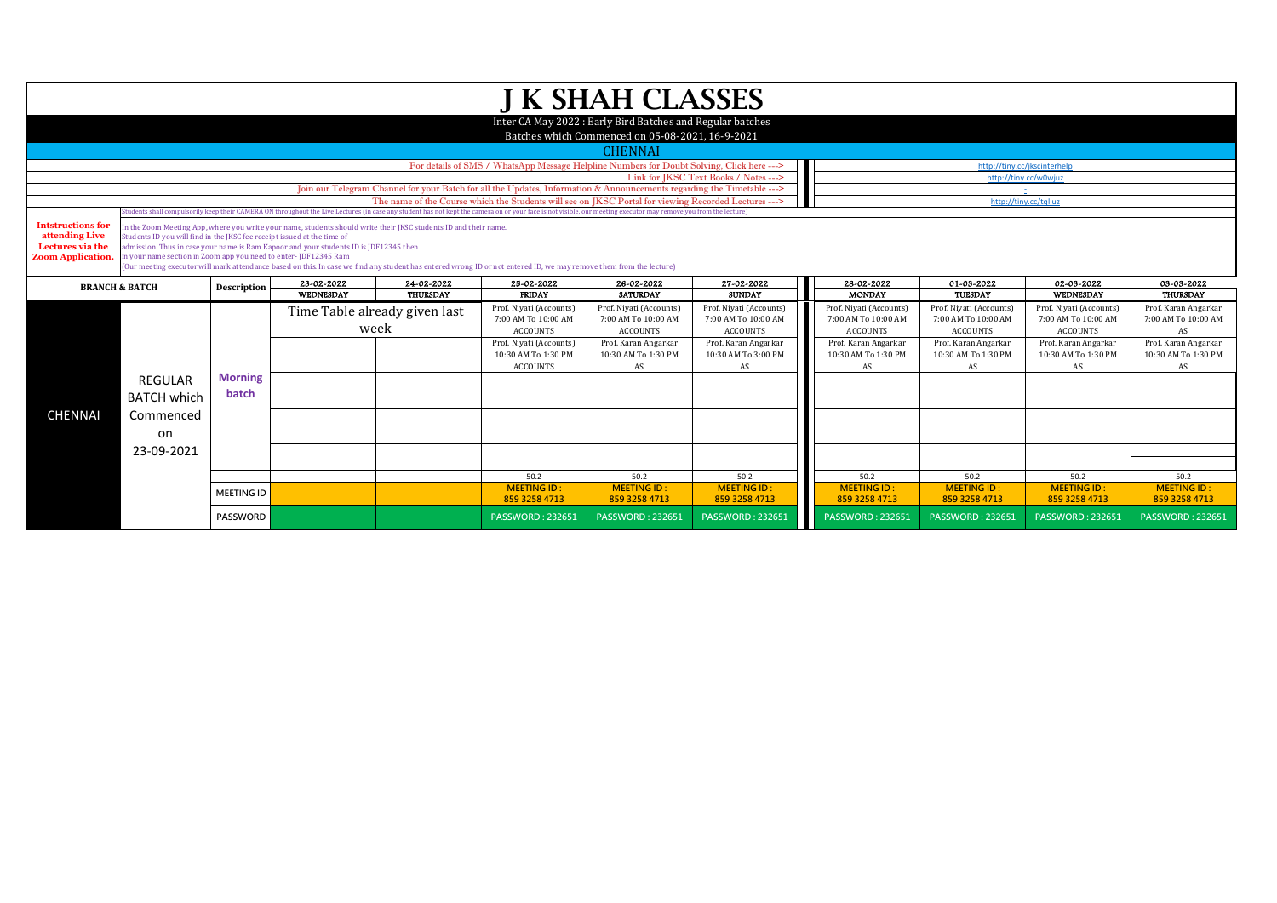|                                                                                            |                                                                                                                                                                                          |                         |                                                                                                                                                                                                           |                                       |                                                                                                                                                                                                                  | J K SHAH CLASSES                                                                                               |                                                                   |                                                                   |                                                                                 |                                                                   |                                                   |  |
|--------------------------------------------------------------------------------------------|------------------------------------------------------------------------------------------------------------------------------------------------------------------------------------------|-------------------------|-----------------------------------------------------------------------------------------------------------------------------------------------------------------------------------------------------------|---------------------------------------|------------------------------------------------------------------------------------------------------------------------------------------------------------------------------------------------------------------|----------------------------------------------------------------------------------------------------------------|-------------------------------------------------------------------|-------------------------------------------------------------------|---------------------------------------------------------------------------------|-------------------------------------------------------------------|---------------------------------------------------|--|
|                                                                                            |                                                                                                                                                                                          |                         |                                                                                                                                                                                                           |                                       |                                                                                                                                                                                                                  | Inter CA May 2022 : Early Bird Batches and Regular batches<br>Batches which Commenced on 05-08-2021, 16-9-2021 |                                                                   |                                                                   |                                                                                 |                                                                   |                                                   |  |
|                                                                                            |                                                                                                                                                                                          |                         |                                                                                                                                                                                                           |                                       |                                                                                                                                                                                                                  | <b>CHENNAI</b>                                                                                                 |                                                                   |                                                                   |                                                                                 |                                                                   |                                                   |  |
|                                                                                            |                                                                                                                                                                                          |                         |                                                                                                                                                                                                           |                                       | For details of SMS / WhatsApp Message Helpline Numbers for Doubt Solving, Click here --->                                                                                                                        |                                                                                                                |                                                                   |                                                                   |                                                                                 | http://tiny.cc/jkscinterhelp                                      |                                                   |  |
|                                                                                            | Link for IKSC Text Books / Notes ---><br>http://tinv.cc/w0wiuz<br>Join our Telegram Channel for your Batch for all the Updates, Information & Announcements regarding the Timetable ---> |                         |                                                                                                                                                                                                           |                                       |                                                                                                                                                                                                                  |                                                                                                                |                                                                   |                                                                   |                                                                                 |                                                                   |                                                   |  |
|                                                                                            |                                                                                                                                                                                          |                         |                                                                                                                                                                                                           |                                       | The name of the Course which the Students will see on JKSC Portal for viewing Recorded Lectures --->                                                                                                             |                                                                                                                |                                                                   |                                                                   | http://tiny.cc/talluz                                                           |                                                                   |                                                   |  |
|                                                                                            |                                                                                                                                                                                          |                         |                                                                                                                                                                                                           |                                       | Students shall compulsorily keep their CAMERA ON throughout the Live Lectures (in case any student has not kept the camera on or your face is not visible, our meeting executor may remove you from the lecture) |                                                                                                                |                                                                   |                                                                   |                                                                                 |                                                                   |                                                   |  |
| <b>Intstructions for</b><br>attending Live<br>Lectures via the<br><b>Zoom Application.</b> | Students ID you will find in the IKSC fee receipt issued at the time of<br>in your name section in Zoom app you need to enter-JDF12345 Ram                                               |                         | In the Zoom Meeting App, where you write your name, students should write their JKSC students ID and their name.<br>admission. Thus in case your name is Ram Kapoor and your students ID is JDF12345 then |                                       | (Our meeting executor will mark attendance based on this. In case we find any student has entered wrong ID or not entered ID, we may remove them from the lecture)                                               |                                                                                                                |                                                                   |                                                                   |                                                                                 |                                                                   |                                                   |  |
| <b>BRANCH &amp; BATCH</b>                                                                  |                                                                                                                                                                                          | Description             | 23-02-2022                                                                                                                                                                                                | 24-02-2022                            | 25-02-2022                                                                                                                                                                                                       | 26-02-2022                                                                                                     | 27-02-2022                                                        | 28-02-2022                                                        | 02-03-2022<br>01-03-2022<br>03-03-2022<br><b>MONDAY</b><br>WEDNESDAY<br>TUESDAY |                                                                   |                                                   |  |
|                                                                                            |                                                                                                                                                                                          |                         | WEDNESDAY                                                                                                                                                                                                 | <b>THURSDAY</b>                       | <b>FRIDAY</b>                                                                                                                                                                                                    | <b>SATURDAY</b>                                                                                                | <b>SUNDAY</b>                                                     |                                                                   |                                                                                 |                                                                   | <b>THURSDAY</b>                                   |  |
|                                                                                            |                                                                                                                                                                                          |                         |                                                                                                                                                                                                           | Time Table already given last<br>week | Prof. Niyati (Accounts)<br>7:00 AM To 10:00 AM<br><b>ACCOUNTS</b>                                                                                                                                                | Prof. Niyati (Accounts)<br>7:00 AM To 10:00 AM<br><b>ACCOUNTS</b>                                              | Prof. Niyati (Accounts)<br>7:00 AM To 10:00 AM<br><b>ACCOUNTS</b> | Prof. Niyati (Accounts)<br>7:00 AM To 10:00 AM<br><b>ACCOUNTS</b> | Prof. Niyati (Accounts)<br>7:00 AM To 10:00 AM<br><b>ACCOUNTS</b>               | Prof. Niyati (Accounts)<br>7:00 AM To 10:00 AM<br><b>ACCOUNTS</b> | Prof. Karan Angarkar<br>7:00 AM To 10:00 AM<br>AS |  |
|                                                                                            |                                                                                                                                                                                          |                         |                                                                                                                                                                                                           |                                       | Prof. Niyati (Accounts)<br>10:30 AM To 1:30 PM<br><b>ACCOUNTS</b>                                                                                                                                                | Prof. Karan Angarkar<br>10:30 AM To 1:30 PM<br>AS                                                              | Prof. Karan Angarkar<br>10:30 AM To 3:00 PM<br>AS                 | Prof. Karan Angarkar<br>10:30 AM To 1:30 PM<br>AS                 | Prof. Karan Angarkar<br>10:30 AM To 1:30 PM<br>AS                               | Prof. Karan Angarkar<br>10:30 AM To 1:30 PM<br>AS                 | Prof. Karan Angarkar<br>10:30 AM To 1:30 PM<br>AS |  |
|                                                                                            | <b>REGULAR</b><br><b>BATCH which</b>                                                                                                                                                     | <b>Morning</b><br>batch |                                                                                                                                                                                                           |                                       |                                                                                                                                                                                                                  |                                                                                                                |                                                                   |                                                                   |                                                                                 |                                                                   |                                                   |  |
| <b>CHENNAI</b>                                                                             | Commenced<br>on                                                                                                                                                                          |                         |                                                                                                                                                                                                           |                                       |                                                                                                                                                                                                                  |                                                                                                                |                                                                   |                                                                   |                                                                                 |                                                                   |                                                   |  |
|                                                                                            | 23-09-2021                                                                                                                                                                               |                         |                                                                                                                                                                                                           |                                       |                                                                                                                                                                                                                  |                                                                                                                |                                                                   |                                                                   |                                                                                 |                                                                   |                                                   |  |
|                                                                                            |                                                                                                                                                                                          |                         |                                                                                                                                                                                                           |                                       | 50.2                                                                                                                                                                                                             | 50.2                                                                                                           | 50.2                                                              | 50.2                                                              | 50.2                                                                            | 50.2                                                              | 50.2                                              |  |
|                                                                                            |                                                                                                                                                                                          |                         |                                                                                                                                                                                                           |                                       | <b>MEETING ID:</b>                                                                                                                                                                                               | <b>MEETING ID:</b>                                                                                             | <b>MEETING ID:</b>                                                | <b>MEETING ID:</b>                                                | <b>MEETING ID:</b>                                                              | <b>MEETING ID:</b>                                                | <b>MEETING ID:</b>                                |  |
|                                                                                            |                                                                                                                                                                                          | <b>MEETING ID</b>       |                                                                                                                                                                                                           |                                       | 859 3258 4713                                                                                                                                                                                                    | 859 3258 4713                                                                                                  | 859 3258 4713                                                     | 859 3258 4713                                                     | 859 3258 4713                                                                   | 859 3258 4713                                                     | 859 3258 4713                                     |  |
|                                                                                            |                                                                                                                                                                                          | <b>PASSWORD</b>         |                                                                                                                                                                                                           |                                       | <b>PASSWORD: 232651</b>                                                                                                                                                                                          | <b>PASSWORD: 232651</b>                                                                                        | <b>PASSWORD: 232651</b>                                           | <b>PASSWORD: 232651</b>                                           | <b>PASSWORD: 232651</b>                                                         | <b>PASSWORD: 232651</b>                                           | <b>PASSWORD: 232651</b>                           |  |